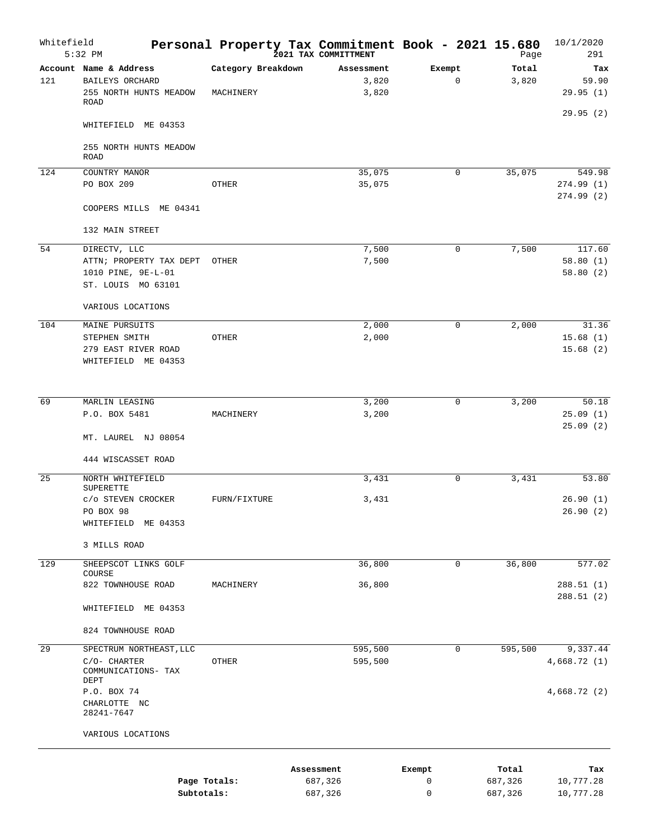| Whitefield | $5:32$ PM                                                                                                                         |                                 | Personal Property Tax Commitment Book - 2021 15.680<br>2021 TAX COMMITTMENT |                |             |             | Page             | 10/1/2020<br>291         |
|------------|-----------------------------------------------------------------------------------------------------------------------------------|---------------------------------|-----------------------------------------------------------------------------|----------------|-------------|-------------|------------------|--------------------------|
| 121        | Account Name & Address<br>BAILEYS ORCHARD<br>255 NORTH HUNTS MEADOW<br><b>ROAD</b>                                                | Category Breakdown<br>MACHINERY | Assessment                                                                  | 3,820<br>3,820 | Exempt      | $\mathbf 0$ | Total<br>3,820   | Tax<br>59.90<br>29.95(1) |
|            | WHITEFIELD ME 04353                                                                                                               |                                 |                                                                             |                |             |             |                  | 29.95(2)                 |
|            | 255 NORTH HUNTS MEADOW<br><b>ROAD</b>                                                                                             |                                 |                                                                             |                |             |             |                  |                          |
| 124        | COUNTRY MANOR                                                                                                                     |                                 |                                                                             | 35,075         |             | $\mathbf 0$ | 35,075           | 549.98                   |
|            | PO BOX 209                                                                                                                        | <b>OTHER</b>                    |                                                                             | 35,075         |             |             |                  | 274.99(1)<br>274.99(2)   |
|            | COOPERS MILLS ME 04341                                                                                                            |                                 |                                                                             |                |             |             |                  |                          |
|            | 132 MAIN STREET                                                                                                                   |                                 |                                                                             |                |             |             |                  |                          |
| 54         | DIRECTV, LLC                                                                                                                      |                                 |                                                                             | 7,500          |             | $\mathbf 0$ | 7,500            | 117.60                   |
|            | ATTN; PROPERTY TAX DEPT                                                                                                           | OTHER                           |                                                                             | 7,500          |             |             |                  | 58.80(1)                 |
|            | 1010 PINE, 9E-L-01                                                                                                                |                                 |                                                                             |                |             |             |                  | 58.80(2)                 |
|            | ST. LOUIS MO 63101                                                                                                                |                                 |                                                                             |                |             |             |                  |                          |
|            | VARIOUS LOCATIONS                                                                                                                 |                                 |                                                                             |                |             |             |                  |                          |
| 104        | MAINE PURSUITS<br>STEPHEN SMITH                                                                                                   | OTHER                           |                                                                             | 2,000<br>2,000 |             | $\mathbf 0$ | 2,000            | 31.36<br>15.68(1)        |
|            | 279 EAST RIVER ROAD                                                                                                               |                                 |                                                                             |                |             |             |                  | 15.68(2)                 |
|            | WHITEFIELD ME 04353                                                                                                               |                                 |                                                                             |                |             |             |                  |                          |
|            |                                                                                                                                   |                                 |                                                                             |                |             |             |                  |                          |
| 69         | MARLIN LEASING                                                                                                                    |                                 |                                                                             | 3,200          |             | $\mathbf 0$ | 3,200            | 50.18                    |
|            | P.O. BOX 5481                                                                                                                     | MACHINERY                       |                                                                             | 3,200          |             |             |                  | 25.09(1)                 |
|            | MT. LAUREL NJ 08054                                                                                                               |                                 |                                                                             |                |             |             |                  | 25.09(2)                 |
|            | 444 WISCASSET ROAD                                                                                                                |                                 |                                                                             |                |             |             |                  |                          |
| 25         | NORTH WHITEFIELD<br><b>SUPERETTE</b>                                                                                              |                                 |                                                                             | 3,431          |             | 0           | 3,431            | 53.80                    |
|            | c/o STEVEN CROCKER<br>PO BOX 98                                                                                                   | FURN/FIXTURE                    |                                                                             | 3,431          |             |             |                  | 26.90(1)                 |
|            | WHITEFIELD ME 04353                                                                                                               |                                 |                                                                             |                |             |             |                  | 26.90(2)                 |
|            | 3 MILLS ROAD                                                                                                                      |                                 |                                                                             |                |             |             |                  |                          |
| 129        | SHEEPSCOT LINKS GOLF                                                                                                              |                                 |                                                                             | 36,800         |             | $\mathbf 0$ | 36,800           | 577.02                   |
|            | COURSE<br>822 TOWNHOUSE ROAD                                                                                                      | MACHINERY                       |                                                                             | 36,800         |             |             |                  | 288.51(1)                |
|            | WHITEFIELD ME 04353                                                                                                               |                                 |                                                                             |                |             |             |                  | 288.51(2)                |
|            | 824 TOWNHOUSE ROAD                                                                                                                |                                 |                                                                             |                |             |             |                  |                          |
| 29         | SPECTRUM NORTHEAST, LLC                                                                                                           |                                 | 595,500                                                                     |                |             | $\mathbf 0$ | 595,500          | 9,337.44                 |
|            | C/O- CHARTER                                                                                                                      | OTHER                           | 595,500                                                                     |                |             |             |                  | 4,668.72(1)              |
|            | COMMUNICATIONS- TAX<br>DEPT                                                                                                       |                                 |                                                                             |                |             |             |                  |                          |
|            | P.O. BOX 74                                                                                                                       |                                 |                                                                             |                |             |             |                  | 4,668.72 (2)             |
|            | CHARLOTTE NC<br>28241-7647                                                                                                        |                                 |                                                                             |                |             |             |                  |                          |
|            | VARIOUS LOCATIONS                                                                                                                 |                                 |                                                                             |                |             |             |                  |                          |
|            |                                                                                                                                   |                                 |                                                                             |                |             |             |                  |                          |
|            |                                                                                                                                   | Page Totals:                    | Assessment<br>687,326                                                       |                | Exempt<br>0 |             | Total<br>687,326 | Tax<br>10,777.28         |
|            | $C1$ , $C2$ , $C3$ , $C4$ , $C5$ , $C6$ , $C7$ , $C8$ , $C9$ , $C1$ , $C1$ , $C1$ , $C1$ , $C1$ , $C1$ , $C1$ , $C1$ , $C1$ , $C$ |                                 | 607.226                                                                     |                |             |             | 607.226          | 10.777                   |

687,326

0

687,326 10,777.28

**Subtotals:**